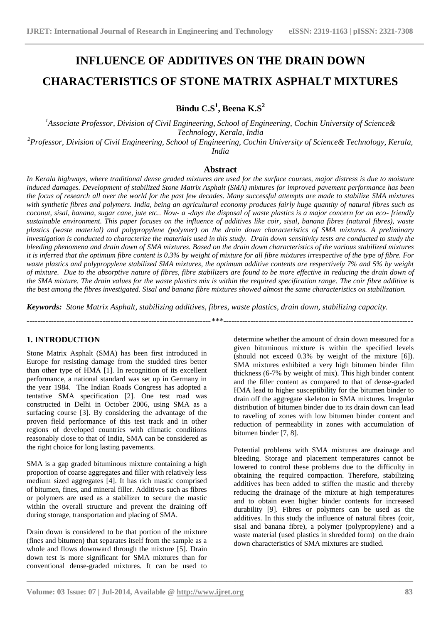# **INFLUENCE OF ADDITIVES ON THE DRAIN DOWN CHARACTERISTICS OF STONE MATRIX ASPHALT MIXTURES**

**Bindu C.S<sup>1</sup> , Beena K.S<sup>2</sup>**

*<sup>1</sup>Associate Professor, Division of Civil Engineering, School of Engineering, Cochin University of Science& Technology, Kerala, India*

*<sup>2</sup>Professor, Division of Civil Engineering, School of Engineering, Cochin University of Science& Technology, Kerala, India*

## **Abstract**

*In Kerala highways, where traditional dense graded mixtures are used for the surface courses, major distress is due to moisture induced damages. Development of stabilized Stone Matrix Asphalt (SMA) mixtures for improved pavement performance has been the focus of research all over the world for the past few decades. Many successful attempts are made to stabilize SMA mixtures with synthetic fibres and polymers. India, being an agricultural economy produces fairly huge quantity of natural fibres such as coconut, sisal, banana, sugar cane, jute etc.. Now- a -days the disposal of waste plastics is a major concern for an eco- friendly sustainable environment. This paper focuses on the influence of additives like coir, sisal, banana fibres (natural fibres), waste plastics (waste material) and polypropylene (polymer) on the drain down characteristics of SMA mixtures. A preliminary investigation is conducted to characterize the materials used in this study. Drain down sensitivity tests are conducted to study the bleeding phenomena and drain down of SMA mixtures. Based on the drain down characteristics of the various stabilized mixtures it is inferred that the optimum fibre content is 0.3% by weight of mixture for all fibre mixtures irrespective of the type of fibre. For waste plastics and polypropylene stabilized SMA mixtures, the optimum additive contents are respectively 7% and 5% by weight of mixture. Due to the absorptive nature of fibres, fibre stabilizers are found to be more effective in reducing the drain down of the SMA mixture. The drain values for the waste plastics mix is within the required specification range. The coir fibre additive is the best among the fibres investigated. Sisal and banana fibre mixtures showed almost the same characteristics on stabilization.* 

*Keywords: Stone Matrix Asphalt, stabilizing additives, fibres, waste plastics, drain down, stabilizing capacity.*

**\_\_\_\_\_\_\_\_\_\_\_\_\_\_\_\_\_\_\_\_\_\_\_\_\_\_\_\_\_\_\_\_\_\_\_\_\_\_\_\_\_\_\_\_\_\_\_\_\_\_\_\_\_\_\_\_\_\_\_\_\_\_\_\_\_\_\_\_\_\_\_\_\_\_\_\_\_\_\_\_\_\_\_\_\_\_\_**

*--------------------------------------------------------------------\*\*\*----------------------------------------------------------------------*

## **1. INTRODUCTION**

Stone Matrix Asphalt (SMA) has been first introduced in Europe for resisting damage from the studded tires better than other type of HMA [1]. In recognition of its excellent performance, a national standard was set up in Germany in the year 1984. The Indian Roads Congress has adopted a tentative SMA specification [2]. One test road was constructed in Delhi in October 2006, using SMA as a surfacing course [3]. By considering the advantage of the proven field performance of this test track and in other regions of developed countries with climatic conditions reasonably close to that of India, SMA can be considered as the right choice for long lasting pavements.

SMA is a gap graded bituminous mixture containing a high proportion of coarse aggregates and filler with relatively less medium sized aggregates [4]. It has rich mastic comprised of bitumen, fines, and mineral filler. Additives such as fibres or polymers are used as a stabilizer to secure the mastic within the overall structure and prevent the draining off during storage, transportation and placing of SMA.

Drain down is considered to be that portion of the mixture (fines and bitumen) that separates itself from the sample as a whole and flows downward through the mixture [5]. Drain down test is more significant for SMA mixtures than for conventional dense-graded mixtures. It can be used to determine whether the amount of drain down measured for a given bituminous mixture is within the specified levels (should not exceed 0.3% by weight of the mixture [6]). SMA mixtures exhibited a very high bitumen binder film thickness (6-7% by weight of mix). This high binder content and the filler content as compared to that of dense-graded HMA lead to higher susceptibility for the bitumen binder to drain off the aggregate skeleton in SMA mixtures. Irregular distribution of bitumen binder due to its drain down can lead to raveling of zones with low bitumen binder content and reduction of permeability in zones with accumulation of bitumen binder [7, 8].

Potential problems with SMA mixtures are drainage and bleeding. Storage and placement temperatures cannot be lowered to control these problems due to the difficulty in obtaining the required compaction. Therefore, stabilizing additives has been added to stiffen the mastic and thereby reducing the drainage of the mixture at high temperatures and to obtain even higher binder contents for increased durability [9]. Fibres or polymers can be used as the additives. In this study the influence of natural fibres (coir, sisal and banana fibre), a polymer (polypropylene) and a waste material (used plastics in shredded form) on the drain down characteristics of SMA mixtures are studied.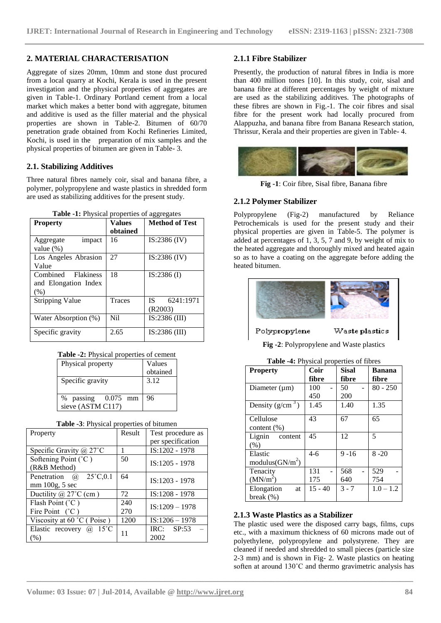## **2. MATERIAL CHARACTERISATION**

Aggregate of sizes 20mm, 10mm and stone dust procured from a local quarry at Kochi, Kerala is used in the present investigation and the physical properties of aggregates are given in Table-1. Ordinary Portland cement from a local market which makes a better bond with aggregate, bitumen and additive is used as the filler material and the physical properties are shown in Table-2. Bitumen of 60/70 penetration grade obtained from Kochi Refineries Limited, Kochi, is used in the preparation of mix samples and the physical properties of bitumen are given in Table- 3.

## **2.1. Stabilizing Additives**

Three natural fibres namely coir, sisal and banana fibre, a polymer, polypropylene and waste plastics in shredded form are used as stabilizing additives for the present study.

|  |  |  | Table -1: Physical properties of aggregates |
|--|--|--|---------------------------------------------|
|--|--|--|---------------------------------------------|

| <b>Property</b>        | Values   | <b>Method of Test</b> |
|------------------------|----------|-----------------------|
|                        | obtained |                       |
| impact<br>Aggregate    | 16       | IS:2386 (IV)          |
| value $(\%)$           |          |                       |
| Los Angeles Abrasion   | 27       | $IS:2386$ (IV)        |
| Value                  |          |                       |
| Combined Flakiness     | 18       | $IS:2386$ (I)         |
| and Elongation Index   |          |                       |
| (% )                   |          |                       |
| <b>Stripping Value</b> | Traces   | 6241:1971<br>IS-      |
|                        |          | (R2003)               |
| Water Absorption (%)   | Ni1      | $IS:2386$ (III)       |
|                        |          |                       |
| Specific gravity       | 2.65     | $IS:2386$ (III)       |

|  | Table -2: Physical properties of cement |
|--|-----------------------------------------|
|--|-----------------------------------------|

| Physical property                            | Values<br>obtained |
|----------------------------------------------|--------------------|
| Specific gravity                             | 3.12               |
| % passing<br>$0.075$ mm<br>sieve (ASTM C117) | 96                 |

| Property                       | Result | Test procedure as |
|--------------------------------|--------|-------------------|
|                                |        | per specification |
| Specific Gravity $(a)$ 27°C    | 1      | IS:1202 - 1978    |
| Softening Point $(^{\circ}C)$  | 50     | $IS:1205 - 1978$  |
| (R&B Method)                   |        |                   |
| Penetration $(a)$ 25°C,0.1     | 64     | $IS:1203 - 1978$  |
| mm 100g, 5 sec                 |        |                   |
| Ductility $\omega$ 27°C (cm)   | 72     | IS:1208 - 1978    |
| Flash Point (°C)               | 240    | $IS:1209 - 1978$  |
| Fire Point $(^{\circ}C)$       | 270    |                   |
| Viscosity at $60 °C$ (Poise)   | 1200   | $IS:1206 - 1978$  |
| Elastic recovery $\omega$ 15°C | 11     | $IRC:$ $SP:53$    |
| (%)                            |        | 2002              |

#### **Table -3**: Physical properties of bitumen

#### **2.1.1 Fibre Stabilizer**

Presently, the production of natural fibres in India is more than 400 million tones [10]. In this study, coir, sisal and banana fibre at different percentages by weight of mixture are used as the stabilizing additives. The photographs of these fibres are shown in Fig.-1. The coir fibres and sisal fibre for the present work had locally procured from Alappuzha, and banana fibre from Banana Research station, Thrissur, Kerala and their properties are given in Table- 4.



**Fig -1**: Coir fibre, Sisal fibre, Banana fibre

### **2.1.2 Polymer Stabilizer**

Polypropylene (Fig-2) manufactured by Reliance Petrochemicals is used for the present study and their physical properties are given in Table-5. The polymer is added at percentages of 1, 3, 5, 7 and 9, by weight of mix to the heated aggregate and thoroughly mixed and heated again so as to have a coating on the aggregate before adding the heated bitumen.



Polypropylene  $\operatorname{Waste}$  plastics

**Fig -2**: Polypropylene and Waste plastics

| <b>Property</b>      | Coir      | <b>Sisal</b> | Banana      |
|----------------------|-----------|--------------|-------------|
|                      | fibre     | fibre        | fibre       |
| Diameter $(\mu m)$   | 100       | 50           | $80 - 250$  |
|                      | 450       | 200          |             |
| Density $(g/cm3)$    | 1.45      | 1.40         | 1.35        |
| Cellulose            | 43        | 67           | 65          |
| content $(\%)$       |           |              |             |
| Lignin content       | 45        | 12           | 5           |
| (% )                 |           |              |             |
| Elastic              | $4-6$     | $9 - 16$     | $8 - 20$    |
| modulus $(GN/m^2)$   |           |              |             |
| Tenacity             | 131       | 568          | 529         |
| (MN/m <sup>2</sup> ) | 175       | 640          | 754         |
| Elongation<br>at     | $15 - 40$ | $3 - 7$      | $1.0 - 1.2$ |
| break $(\%)$         |           |              |             |

### **2.1.3 Waste Plastics as a Stabilizer**

**\_\_\_\_\_\_\_\_\_\_\_\_\_\_\_\_\_\_\_\_\_\_\_\_\_\_\_\_\_\_\_\_\_\_\_\_\_\_\_\_\_\_\_\_\_\_\_\_\_\_\_\_\_\_\_\_\_\_\_\_\_\_\_\_\_\_\_\_\_\_\_\_\_\_\_\_\_\_\_\_\_\_\_\_\_\_\_**

The plastic used were the disposed carry bags, films, cups etc., with a maximum thickness of 60 microns made out of polyethylene, polypropylene and polystyrene. They are cleaned if needed and shredded to small pieces (particle size 2-3 mm) and is shown in Fig- 2. Waste plastics on heating soften at around 130°C and thermo gravimetric analysis has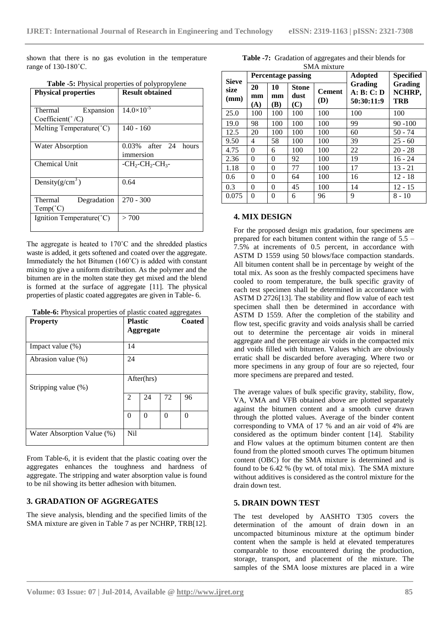shown that there is no gas evolution in the temperature range of 130-180˚C.

| <b>Table -5:</b> Physical properties of polypropylene |                                            |  |  |  |  |
|-------------------------------------------------------|--------------------------------------------|--|--|--|--|
| <b>Physical properties</b>                            | <b>Result obtained</b>                     |  |  |  |  |
|                                                       |                                            |  |  |  |  |
| Expansion<br>Thermal                                  | $14.0\times10^{-5}$                        |  |  |  |  |
| $Coefficient(^{\circ}/C)$                             |                                            |  |  |  |  |
| Melting Temperature(°C)                               | $140 - 160$                                |  |  |  |  |
|                                                       |                                            |  |  |  |  |
| <b>Water Absorption</b>                               | $0.03\%$ after 24 hours                    |  |  |  |  |
|                                                       | immersion                                  |  |  |  |  |
| Chemical Unit                                         | $-CH2$ -CH <sub>2</sub> -CH <sub>3</sub> - |  |  |  |  |
|                                                       |                                            |  |  |  |  |
| Density $(g/cm^3)$                                    | 0.64                                       |  |  |  |  |
|                                                       |                                            |  |  |  |  |
| Thermal<br>Degradation                                | $270 - 300$                                |  |  |  |  |
| $Temp(^{\circ}C)$                                     |                                            |  |  |  |  |
| Ignition Temperature(°C)                              | > 700                                      |  |  |  |  |
|                                                       |                                            |  |  |  |  |

The aggregate is heated to 170˚C and the shredded plastics waste is added, it gets softened and coated over the aggregate. Immediately the hot Bitumen (160˚C) is added with constant mixing to give a uniform distribution. As the polymer and the bitumen are in the molten state they get mixed and the blend is formed at the surface of aggregate [11]. The physical properties of plastic coated aggregates are given in Table- 6.

**Table-6:** Physical properties of plastic coated aggregates

| <b>Property</b>            | <b>Plastic</b><br><b>Aggregate</b> |            |   | Coated |
|----------------------------|------------------------------------|------------|---|--------|
| Impact value $(\%)$        | 14                                 |            |   |        |
| Abrasion value (%)         | 24                                 |            |   |        |
| Stripping value (%)        |                                    | After(hrs) |   |        |
|                            | 2<br>72<br>96<br>24                |            |   |        |
|                            | $\theta$                           | $\theta$   | 0 | 0      |
| Water Absorption Value (%) | N <sub>i</sub>                     |            |   |        |

From Table-6, it is evident that the plastic coating over the aggregates enhances the toughness and hardness of aggregate. The stripping and water absorption value is found to be nil showing its better adhesion with bitumen.

## **3. GRADATION OF AGGREGATES**

The sieve analysis, blending and the specified limits of the SMA mixture are given in Table 7 as per NCHRP, TRB[12].

**Table -7:** Gradation of aggregates and their blends for SMA mixture

| <b>Sieve</b><br>size<br>(mm) |                 |                 | <b>Percentage passing</b>   | <b>Adopted</b>       | Specified                                  |                                 |
|------------------------------|-----------------|-----------------|-----------------------------|----------------------|--------------------------------------------|---------------------------------|
|                              | 20<br>mm<br>(A) | 10<br>mm<br>(B) | <b>Stone</b><br>dust<br>(C) | <b>Cement</b><br>(D) | <b>Grading</b><br>A: B: C: D<br>50:30:11:9 | <b>Grading</b><br>NCHRP,<br>TRB |
| 25.0                         | 100             | 100             | 100                         | 100                  | 100                                        | 100                             |
| 19.0                         | 98              | 100             | 100                         | 100                  | 99                                         | $90 - 100$                      |
| 12.5                         | 20              | 100             | 100                         | 100                  | 60                                         | $50 - 74$                       |
| 9.50                         | 4               | 58              | 100                         | 100                  | 39                                         | $25 - 60$                       |
| 4.75                         | $\theta$        | 6               | 100                         | 100                  | 22                                         | $20 - 28$                       |
| 2.36                         | $\theta$        | 0               | 92                          | 100                  | 19                                         | $16 - 24$                       |
| 1.18                         | $\theta$        | $\theta$        | 77                          | 100                  | 17                                         | $13 - 21$                       |
| 0.6                          | 0               | $\theta$        | 64                          | 100                  | 16                                         | $12 - 18$                       |
| 0.3                          | $\Omega$        | $\Omega$        | 45                          | 100                  | 14                                         | $12 - 15$                       |
| 0.075                        | $\theta$        | $\Omega$        | 6                           | 96                   | 9                                          | $8 - 10$                        |

## **4. MIX DESIGN**

For the proposed design mix gradation, four specimens are prepared for each bitumen content within the range of 5.5 – 7.5% at increments of 0.5 percent, in accordance with ASTM D 1559 using 50 blows/face compaction standards. All bitumen content shall be in percentage by weight of the total mix. As soon as the freshly compacted specimens have cooled to room temperature, the bulk specific gravity of each test specimen shall be determined in accordance with ASTM D 2726[13]. The stability and flow value of each test specimen shall then be determined in accordance with ASTM D 1559. After the completion of the stability and flow test, specific gravity and voids analysis shall be carried out to determine the percentage air voids in mineral aggregate and the percentage air voids in the compacted mix and voids filled with bitumen. Values which are obviously erratic shall be discarded before averaging. Where two or more specimens in any group of four are so rejected, four more specimens are prepared and tested.

The average values of bulk specific gravity, stability, flow, VA, VMA and VFB obtained above are plotted separately against the bitumen content and a smooth curve drawn through the plotted values. Average of the binder content corresponding to VMA of 17 % and an air void of 4% are considered as the optimum binder content [14]. Stability and Flow values at the optimum bitumen content are then found from the plotted smooth curves The optimum bitumen content (OBC) for the SMA mixture is determined and is found to be 6.42 % (by wt. of total mix). The SMA mixture without additives is considered as the control mixture for the drain down test.

## **5. DRAIN DOWN TEST**

**\_\_\_\_\_\_\_\_\_\_\_\_\_\_\_\_\_\_\_\_\_\_\_\_\_\_\_\_\_\_\_\_\_\_\_\_\_\_\_\_\_\_\_\_\_\_\_\_\_\_\_\_\_\_\_\_\_\_\_\_\_\_\_\_\_\_\_\_\_\_\_\_\_\_\_\_\_\_\_\_\_\_\_\_\_\_\_**

The test developed by AASHTO T305 covers the determination of the amount of drain down in an uncompacted bituminous mixture at the optimum binder content when the sample is held at elevated temperatures comparable to those encountered during the production, storage, transport, and placement of the mixture. The samples of the SMA loose mixtures are placed in a wire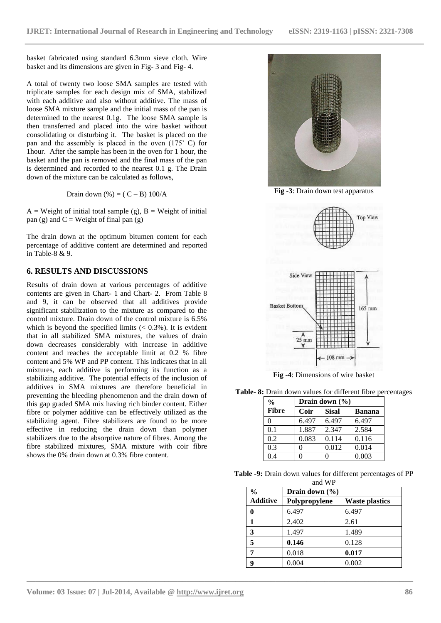basket fabricated using standard 6.3mm sieve cloth. Wire basket and its dimensions are given in Fig- 3 and Fig- 4.

A total of twenty two loose SMA samples are tested with triplicate samples for each design mix of SMA, stabilized with each additive and also without additive. The mass of loose SMA mixture sample and the initial mass of the pan is determined to the nearest 0.1g. The loose SMA sample is then transferred and placed into the wire basket without consolidating or disturbing it. The basket is placed on the pan and the assembly is placed in the oven (175˚ C) for 1hour. After the sample has been in the oven for 1 hour, the basket and the pan is removed and the final mass of the pan is determined and recorded to the nearest 0.1 g. The Drain down of the mixture can be calculated as follows,

Drain down  $(\%)=(C-B) 100/A$ 

 $A = Weight of initial total sample (g), B = Weight of initial$ pan (g) and  $C = Weight$  of final pan (g)

The drain down at the optimum bitumen content for each percentage of additive content are determined and reported in Table-8 & 9.

## **6. RESULTS AND DISCUSSIONS**

Results of drain down at various percentages of additive contents are given in Chart- 1 and Chart- 2. From Table 8 and 9, it can be observed that all additives provide significant stabilization to the mixture as compared to the control mixture. Drain down of the control mixture is 6.5% which is beyond the specified limits  $(< 0.3\%)$ . It is evident that in all stabilized SMA mixtures, the values of drain down decreases considerably with increase in additive content and reaches the acceptable limit at 0.2 % fibre content and 5% WP and PP content. This indicates that in all mixtures, each additive is performing its function as a stabilizing additive. The potential effects of the inclusion of additives in SMA mixtures are therefore beneficial in preventing the bleeding phenomenon and the drain down of this gap graded SMA mix having rich binder content. Either fibre or polymer additive can be effectively utilized as the stabilizing agent. Fibre stabilizers are found to be more effective in reducing the drain down than polymer stabilizers due to the absorptive nature of fibres. Among the fibre stabilized mixtures, SMA mixture with coir fibre shows the 0% drain down at 0.3% fibre content.



**Fig -3**: Drain down test apparatus



**Fig -4**: Dimensions of wire basket

**Table- 8:** Drain down values for different fibre percentages

| $\frac{0}{0}$ | Drain down $(\% )$ |              |               |
|---------------|--------------------|--------------|---------------|
| <b>Fibre</b>  | Coir               | <b>Sisal</b> | <b>Banana</b> |
| 0             | 6.497              | 6.497        | 6.497         |
| 0.1           | 1.887              | 2.347        | 2.584         |
| 0.2           | 0.083              | 0.114        | 0.116         |
| 0.3           |                    | 0.012        | 0.014         |
| 0.4           |                    |              | 0.003         |

| <b>Table -9:</b> Drain down values for different percentages of PP |  |        |  |  |
|--------------------------------------------------------------------|--|--------|--|--|
|                                                                    |  | and WP |  |  |

| $\frac{0}{0}$   | Drain down $(\% )$ |                       |  |
|-----------------|--------------------|-----------------------|--|
| <b>Additive</b> | Polypropylene      | <b>Waste plastics</b> |  |
|                 | 6.497              | 6.497                 |  |
|                 | 2.402              | 2.61                  |  |
| 3               | 1.497              | 1.489                 |  |
| 5               | 0.146              | 0.128                 |  |
|                 | 0.018              | 0.017                 |  |
|                 | 0.004              | 0.002                 |  |

**\_\_\_\_\_\_\_\_\_\_\_\_\_\_\_\_\_\_\_\_\_\_\_\_\_\_\_\_\_\_\_\_\_\_\_\_\_\_\_\_\_\_\_\_\_\_\_\_\_\_\_\_\_\_\_\_\_\_\_\_\_\_\_\_\_\_\_\_\_\_\_\_\_\_\_\_\_\_\_\_\_\_\_\_\_\_\_**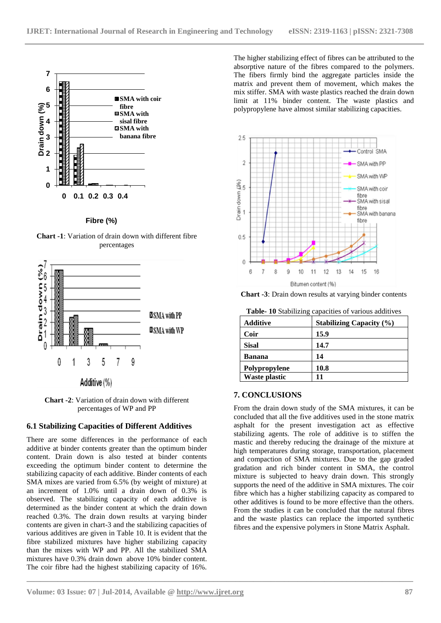

**Fibre (%)**

**Chart -1**: Variation of drain down with different fibre percentages



**Chart -2**: Variation of drain down with different percentages of WP and PP

## **6.1 Stabilizing Capacities of Different Additives**

There are some differences in the performance of each additive at binder contents greater than the optimum binder content. Drain down is also tested at binder contents exceeding the optimum binder content to determine the stabilizing capacity of each additive. Binder contents of each SMA mixes are varied from 6.5% (by weight of mixture) at an increment of 1.0% until a drain down of 0.3% is observed. The stabilizing capacity of each additive is determined as the binder content at which the drain down reached 0.3%. The drain down results at varying binder contents are given in chart-3 and the stabilizing capacities of various additives are given in Table 10. It is evident that the fibre stabilized mixtures have higher stabilizing capacity than the mixes with WP and PP. All the stabilized SMA mixtures have 0.3% drain down above 10% binder content. The coir fibre had the highest stabilizing capacity of 16%.

The higher stabilizing effect of fibres can be attributed to the absorptive nature of the fibres compared to the polymers. The fibers firmly bind the aggregate particles inside the matrix and prevent them of movement, which makes the mix stiffer. SMA with waste plastics reached the drain down limit at 11% binder content. The waste plastics and polypropylene have almost similar stabilizing capacities.



**Chart -3**: Drain down results at varying binder contents

| <b>Table-10</b> Stabilizing capacities of various additives |  |  |
|-------------------------------------------------------------|--|--|
|                                                             |  |  |

| Additive             | <b>Stabilizing Capacity (%)</b> |
|----------------------|---------------------------------|
| Coir                 | 15.9                            |
| <b>Sisal</b>         | 14.7                            |
| Banana               | 14                              |
| Polypropylene        | 10.8                            |
| <b>Waste plastic</b> | 11                              |

## **7. CONCLUSIONS**

**\_\_\_\_\_\_\_\_\_\_\_\_\_\_\_\_\_\_\_\_\_\_\_\_\_\_\_\_\_\_\_\_\_\_\_\_\_\_\_\_\_\_\_\_\_\_\_\_\_\_\_\_\_\_\_\_\_\_\_\_\_\_\_\_\_\_\_\_\_\_\_\_\_\_\_\_\_\_\_\_\_\_\_\_\_\_\_**

From the drain down study of the SMA mixtures, it can be concluded that all the five additives used in the stone matrix asphalt for the present investigation act as effective stabilizing agents. The role of additive is to stiffen the mastic and thereby reducing the drainage of the mixture at high temperatures during storage, transportation, placement and compaction of SMA mixtures. Due to the gap graded gradation and rich binder content in SMA, the control mixture is subjected to heavy drain down. This strongly supports the need of the additive in SMA mixtures. The coir fibre which has a higher stabilizing capacity as compared to other additives is found to be more effective than the others. From the studies it can be concluded that the natural fibres and the waste plastics can replace the imported synthetic fibres and the expensive polymers in Stone Matrix Asphalt.